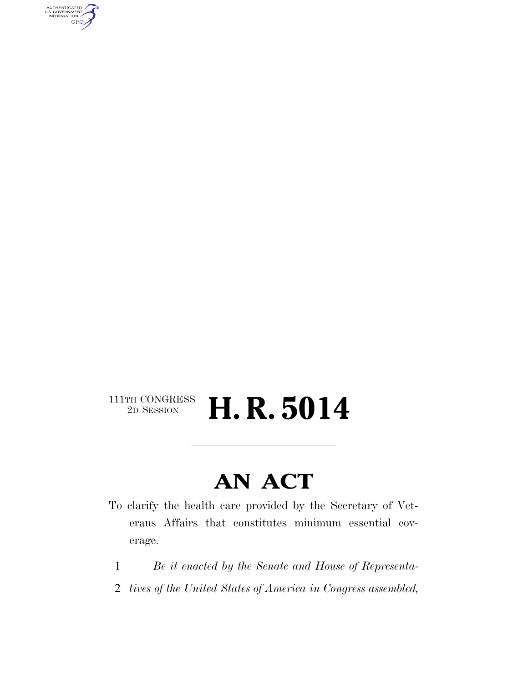AUTHENTICATED<br>U.S. GOVERNMENT<br>INFORMATION GPO

## $\begin{array}{c} \textbf{111TH CONGRESS} \\ \textbf{2D} \textbf{Session} \end{array}$ **H. R. 5014**

## **AN ACT**

- To clarify the health care provided by the Secretary of Veterans Affairs that constitutes minimum essential coverage.
	- 1 *Be it enacted by the Senate and House of Representa-*
	- 2 *tives of the United States of America in Congress assembled,*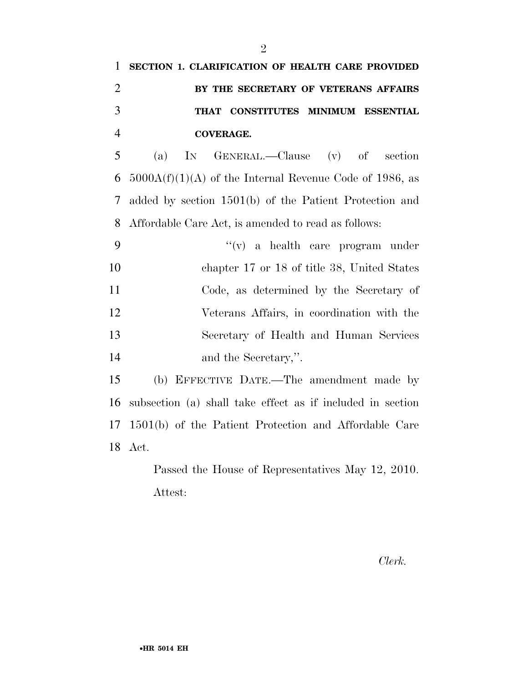| 1 SECTION 1. CLARIFICATION OF HEALTH CARE PROVIDED |
|----------------------------------------------------|
| BY THE SECRETARY OF VETERANS AFFAIRS               |
| THAT CONSTITUTES MINIMUM ESSENTIAL                 |
| COVERAGE.                                          |

 (a) IN GENERAL.—Clause (v) of section 6 5000 $A(f)(1)(A)$  of the Internal Revenue Code of 1986, as added by section 1501(b) of the Patient Protection and Affordable Care Act, is amended to read as follows:

 ''(v) a health care program under chapter 17 or 18 of title 38, United States Code, as determined by the Secretary of Veterans Affairs, in coordination with the Secretary of Health and Human Services and the Secretary,''.

 (b) EFFECTIVE DATE.—The amendment made by subsection (a) shall take effect as if included in section 1501(b) of the Patient Protection and Affordable Care Act.

> Passed the House of Representatives May 12, 2010. Attest:

> > *Clerk.*